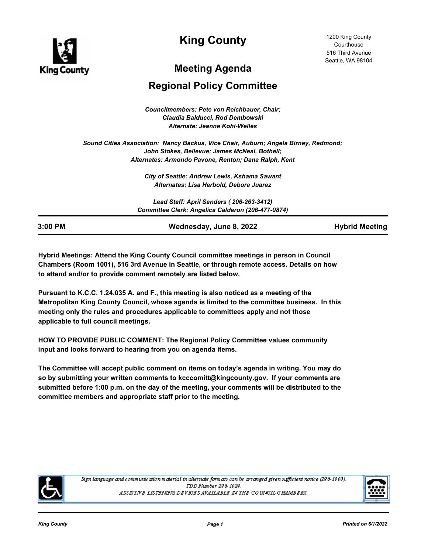

**King County**

# **Meeting Agenda**

# **Regional Policy Committee**

*Councilmembers: Pete von Reichbauer, Chair; Claudia Balducci, Rod Dembowski Alternate: Jeanne Kohl-Welles*

*Sound Cities Association: Nancy Backus, Vice Chair, Auburn; Angela Birney, Redmond; John Stokes, Bellevue; James McNeal, Bothell; Alternates: Armondo Pavone, Renton; Dana Ralph, Kent*

> *City of Seattle: Andrew Lewis, Kshama Sawant Alternates: Lisa Herbold, Debora Juarez*

*Lead Staff: April Sanders ( 206-263-3412) Committee Clerk: Angelica Calderon (206-477-0874)*

| 3:00 PM | Wednesday, June 8, 2022 | <b>Hybrid Meeting</b> |
|---------|-------------------------|-----------------------|

**Hybrid Meetings: Attend the King County Council committee meetings in person in Council Chambers (Room 1001), 516 3rd Avenue in Seattle, or through remote access. Details on how to attend and/or to provide comment remotely are listed below.**

**Pursuant to K.C.C. 1.24.035 A. and F., this meeting is also noticed as a meeting of the Metropolitan King County Council, whose agenda is limited to the committee business. In this meeting only the rules and procedures applicable to committees apply and not those applicable to full council meetings.**

**HOW TO PROVIDE PUBLIC COMMENT: The Regional Policy Committee values community input and looks forward to hearing from you on agenda items.** 

**The Committee will accept public comment on items on today's agenda in writing. You may do so by submitting your written comments to kcccomitt@kingcounty.gov. If your comments are submitted before 1:00 p.m. on the day of the meeting, your comments will be distributed to the committee members and appropriate staff prior to the meeting.**



Sign language and communication material in alternate formats can be arranged given sufficient notice (296-1000). TDD Number 296-1024. ASSISTIVE LISTENING DEVICES AVAILABLE IN THE COUNCIL CHAMBERS.

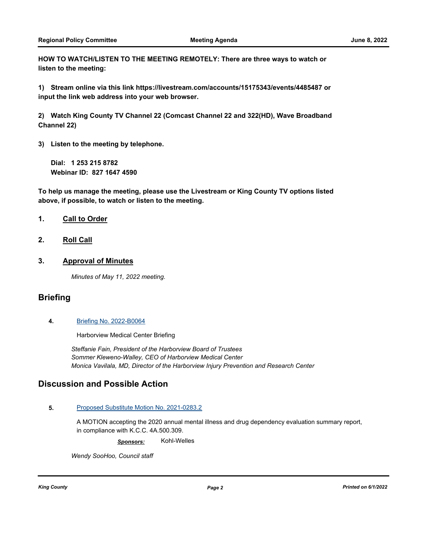**HOW TO WATCH/LISTEN TO THE MEETING REMOTELY: There are three ways to watch or listen to the meeting:**

**1) Stream online via this link https://livestream.com/accounts/15175343/events/4485487 or input the link web address into your web browser.**

**2) Watch King County TV Channel 22 (Comcast Channel 22 and 322(HD), Wave Broadband Channel 22)**

**3) Listen to the meeting by telephone.**

**Dial: 1 253 215 8782 Webinar ID: 827 1647 4590**

**To help us manage the meeting, please use the Livestream or King County TV options listed above, if possible, to watch or listen to the meeting.**

### **1. Call to Order**

**2. Roll Call**

### **3. Approval of Minutes**

*Minutes of May 11, 2022 meeting.*

### **Briefing**

**4.** [Briefing No. 2022-B0064](http://kingcounty.legistar.com/gateway.aspx?m=l&id=/matter.aspx?key=23091)

Harborview Medical Center Briefing

*Steffanie Fain, President of the Harborview Board of Trustees Sommer Kleweno-Walley, CEO of Harborview Medical Center Monica Vavilala, MD, Director of the Harborview Injury Prevention and Research Center*

## **Discussion and Possible Action**

#### **5.** [Proposed Substitute Motion No. 2021-0283.2](http://kingcounty.legistar.com/gateway.aspx?m=l&id=/matter.aspx?key=22349)

A MOTION accepting the 2020 annual mental illness and drug dependency evaluation summary report, in compliance with K.C.C. 4A.500.309.

*Sponsors:* Kohl-Welles

*Wendy SooHoo, Council staff*